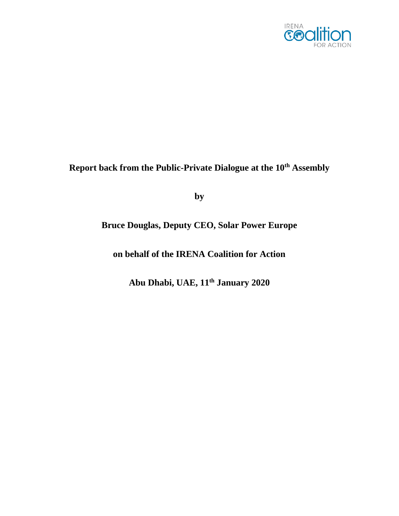

## **Report back from the Public-Private Dialogue at the 10th Assembly**

**by**

## **Bruce Douglas, Deputy CEO, Solar Power Europe**

**on behalf of the IRENA Coalition for Action** 

**Abu Dhabi, UAE, 11 th January 2020**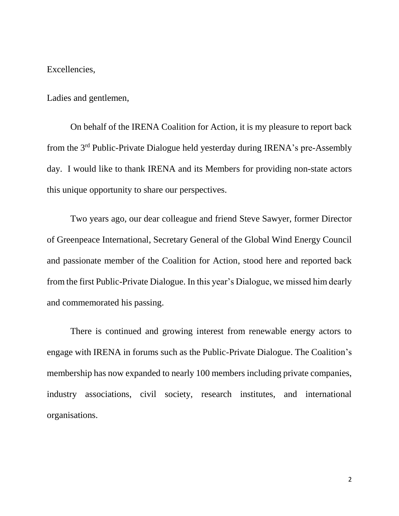Excellencies,

Ladies and gentlemen,

On behalf of the IRENA Coalition for Action, it is my pleasure to report back from the 3<sup>rd</sup> Public-Private Dialogue held yesterday during IRENA's pre-Assembly day. I would like to thank IRENA and its Members for providing non-state actors this unique opportunity to share our perspectives.

Two years ago, our dear colleague and friend Steve Sawyer, former Director of Greenpeace International, Secretary General of the Global Wind Energy Council and passionate member of the Coalition for Action, stood here and reported back from the first Public-Private Dialogue. In this year's Dialogue, we missed him dearly and commemorated his passing.

There is continued and growing interest from renewable energy actors to engage with IRENA in forums such as the Public-Private Dialogue. The Coalition's membership has now expanded to nearly 100 members including private companies, industry associations, civil society, research institutes, and international organisations.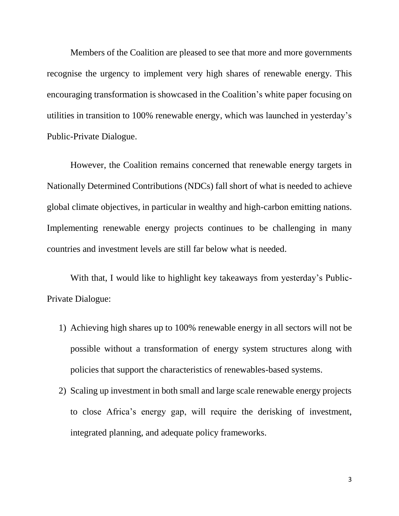Members of the Coalition are pleased to see that more and more governments recognise the urgency to implement very high shares of renewable energy. This encouraging transformation is showcased in the Coalition's white paper focusing on utilities in transition to 100% renewable energy, which was launched in yesterday's Public-Private Dialogue.

However, the Coalition remains concerned that renewable energy targets in Nationally Determined Contributions (NDCs) fall short of what is needed to achieve global climate objectives, in particular in wealthy and high-carbon emitting nations. Implementing renewable energy projects continues to be challenging in many countries and investment levels are still far below what is needed.

With that, I would like to highlight key takeaways from yesterday's Public-Private Dialogue:

- 1) Achieving high shares up to 100% renewable energy in all sectors will not be possible without a transformation of energy system structures along with policies that support the characteristics of renewables-based systems.
- 2) Scaling up investment in both small and large scale renewable energy projects to close Africa's energy gap, will require the derisking of investment, integrated planning, and adequate policy frameworks.